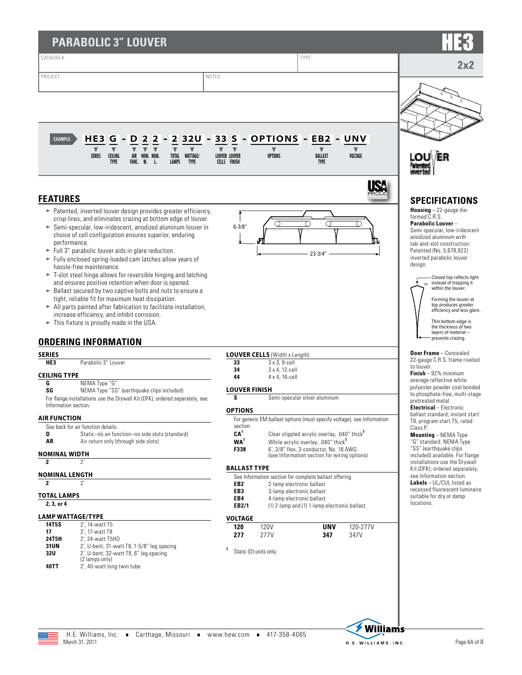| <b>PARABOLIC 3" LOUVER</b>                                                                                                                                                                                                                                                                                                                                                                                                                                                                                                                                                                                                                                                                                                                                                                                                                                                                                                                        |                                                                                                                                                                                      |                                                                                                                                                                                                                                                                                                                                                                                                                                                                                                                                           |                                                                                                                                                                                                                                                                                                                                                                                                                                                                                                                                                                                                                                      |                               |                                                                                                                                                                                                                                                                                                                                                                                                                                                                                                                               |
|---------------------------------------------------------------------------------------------------------------------------------------------------------------------------------------------------------------------------------------------------------------------------------------------------------------------------------------------------------------------------------------------------------------------------------------------------------------------------------------------------------------------------------------------------------------------------------------------------------------------------------------------------------------------------------------------------------------------------------------------------------------------------------------------------------------------------------------------------------------------------------------------------------------------------------------------------|--------------------------------------------------------------------------------------------------------------------------------------------------------------------------------------|-------------------------------------------------------------------------------------------------------------------------------------------------------------------------------------------------------------------------------------------------------------------------------------------------------------------------------------------------------------------------------------------------------------------------------------------------------------------------------------------------------------------------------------------|--------------------------------------------------------------------------------------------------------------------------------------------------------------------------------------------------------------------------------------------------------------------------------------------------------------------------------------------------------------------------------------------------------------------------------------------------------------------------------------------------------------------------------------------------------------------------------------------------------------------------------------|-------------------------------|-------------------------------------------------------------------------------------------------------------------------------------------------------------------------------------------------------------------------------------------------------------------------------------------------------------------------------------------------------------------------------------------------------------------------------------------------------------------------------------------------------------------------------|
| CATALOG #:                                                                                                                                                                                                                                                                                                                                                                                                                                                                                                                                                                                                                                                                                                                                                                                                                                                                                                                                        |                                                                                                                                                                                      |                                                                                                                                                                                                                                                                                                                                                                                                                                                                                                                                           | TYPE:                                                                                                                                                                                                                                                                                                                                                                                                                                                                                                                                                                                                                                |                               | 2x2                                                                                                                                                                                                                                                                                                                                                                                                                                                                                                                           |
| PROJECT:                                                                                                                                                                                                                                                                                                                                                                                                                                                                                                                                                                                                                                                                                                                                                                                                                                                                                                                                          | NOTES:                                                                                                                                                                               |                                                                                                                                                                                                                                                                                                                                                                                                                                                                                                                                           |                                                                                                                                                                                                                                                                                                                                                                                                                                                                                                                                                                                                                                      |                               |                                                                                                                                                                                                                                                                                                                                                                                                                                                                                                                               |
| 2 3 2 U -<br>HE <sub>3</sub><br>$\overline{\mathbf{2}}$<br><b>EXAMPLE</b><br>G<br>D<br>$\overline{\mathbf{2}}$<br>$\overline{\mathbf{v}}$<br>$\blacktriangledown$<br>$\blacktriangledown$<br>$\blacktriangledown$<br>$\blacktriangledown$<br><b>CEILING</b><br>AIR NOM. NOM.<br>TOTAL WATTAGE/<br><b>SERIES</b><br><b>TYPE</b><br>FUNC, W. L.<br><b>LAMPS</b><br><b>TYPE</b>                                                                                                                                                                                                                                                                                                                                                                                                                                                                                                                                                                      | 33 S<br>$\blacktriangledown$<br><b>LOUVER LOUVER</b><br><b>CELLS FINISH</b>                                                                                                          | - OPTIONS - EB2 - UNV<br><b>OPTIONS</b>                                                                                                                                                                                                                                                                                                                                                                                                                                                                                                   | <b>BALLAST</b><br><b>TYPE</b>                                                                                                                                                                                                                                                                                                                                                                                                                                                                                                                                                                                                        | VOLTAGE                       | LOU\ ER                                                                                                                                                                                                                                                                                                                                                                                                                                                                                                                       |
| <b>FEATURES</b><br>> Patented, inverted louver design provides greater efficiency,<br>crisp lines, and eliminates crazing at bottom edge of louver.<br>Semi-specular, low-iridescent, anodized aluminum louver in<br>choice of cell configuration ensures superior, enduring<br>performance.<br>$\blacktriangleright$ Full 3" parabolic louver aids in glare reduction.<br>Fully enclosed spring-loaded cam latches allow years of<br>hassle-free maintenance.<br>$\blacktriangleright$ T-slot steel hinge allows for reversible hinging and latching<br>and ensures positive retention when door is opened.<br>Ballast secured by two captive bolts and nuts to ensure a<br>tight, reliable fit for maximum heat dissipation.<br>All parts painted after fabrication to facilitate installation,<br>increase efficiency, and inhibit corrosion.<br>$\blacktriangleright$ This fixture is proudly made in the USA.<br><b>ORDERING INFORMATION</b> | $6 - 3/8"$                                                                                                                                                                           |                                                                                                                                                                                                                                                                                                                                                                                                                                                                                                                                           | $23 - 3/4"$                                                                                                                                                                                                                                                                                                                                                                                                                                                                                                                                                                                                                          | IS.                           | <b>SPECIFICATIONS</b><br><b>Housing</b> $-22$ -gauge die-<br>formed C.R.S.<br><b>Parabolic Louver-</b><br>Semi-specular, low-iridescent<br>anodized aluminum with<br>tab-and-slot construction.<br>Patented (No. 5,678,922)<br>inverted parabolic louver<br>design.<br>Closed top reflects light<br>instead of trapping it<br>within the louver.<br>Forming the louver at<br>top produces greater<br>efficiency and less glare.<br>Thin bottom edge is<br>the thickness of two<br>layers of material -<br>- prevents crazing. |
| <b>SERIES</b><br>HE3<br>Parabolic 3" Louver<br><b>CEILING TYPE</b><br>NEMA Type "G"<br>G<br>SG<br>NEMA Type "SS" (earthquake clips included)<br>For flange installations use the Drywall Kit (DFK), ordered separately, see<br>Information section.<br><b>AIR FUNCTION</b><br>See back for air function details.<br>Static-no air function-no side slots (standard)<br>D<br>AR<br>Air return only (through side slots)<br><b>NOMINAL WIDTH</b><br>$2^{\prime}$<br>$\mathbf{2}$<br><b>NOMINAL LENGTH</b><br>$\mathbf{2}$<br>$2^{\prime}$                                                                                                                                                                                                                                                                                                                                                                                                           | 33<br>34<br>44<br><b>LOUVER FINISH</b><br>S<br><b>OPTIONS</b><br>section.<br>CA <sup>1</sup><br>WA <sup>1</sup><br>F338<br><b>BALLAST TYPE</b><br>EB <sub>2</sub><br>EB <sub>3</sub> | <b>LOUVER CELLS (Width x Length)</b><br>$3 \times 3$ , 9-cell<br>3 x 4, 12-cell<br>4 x 4, 16-cell<br>Semi-specular silver aluminum<br>For generic EM ballast options (must specify voltage), see Information<br>Clear stippled acrylic overlay, .040" thick <sup>1</sup><br>White acrylic overlay, .040" thick <sup>1</sup><br>6', 3/8" flex, 3-conductor, No. 18 AWG<br>(see Information section for wiring options)<br>See Information section for complete ballast offering.<br>2-lamp electronic ballast<br>3-lamp electronic ballast | <b>Door Frame</b> - Concealed<br>22-gauge C.R.S. frame riveted<br>to louver.<br><b>Finish</b> $-92%$ minimum<br>average reflective white<br>polyester powder coat bonded<br>to phosphate-free, multi-stage<br>pretreated metal.<br><b>Electrical</b> - Electronic<br>ballast standard, instant start<br>T8, program start T5, rated<br>Class P.<br><b>Mounting</b> - NEMA Type<br>"G" standard. NEMA Type<br>"SS" (earthquake clips<br>included) available. For flange<br>installations use the Drywall<br>Kit (DFK), ordered separately,<br>see Information section.<br>Labels - UL/CUL listed as<br>recessed fluorescent luminaire |                               |                                                                                                                                                                                                                                                                                                                                                                                                                                                                                                                               |
| <b>TOTAL LAMPS</b><br>2, 3, or 4<br><b>LAMP WATTAGE/TYPE</b><br>14T5S<br>2', 14-watt T5<br>17<br>2', 17-watt T8<br>24T5H<br>2', 24-watt T5H0<br>31UN<br>2', U-bent, 31-watt T8, 1-5/8" leg spacing<br>32U<br>2', U-bent, 32-watt T8, 6" leg spacing<br>(2 lamps only)<br>40TT<br>2', 40-watt long twin tube                                                                                                                                                                                                                                                                                                                                                                                                                                                                                                                                                                                                                                       | EB4<br>EB2/1<br><b>VOLTAGE</b><br>120<br>277<br>Static (D) units only.                                                                                                               | 4-lamp electronic ballast<br><b>120V</b><br>277V                                                                                                                                                                                                                                                                                                                                                                                                                                                                                          | (1) 2-lamp and (1) 1-lamp electronic ballast<br>UNV<br>347                                                                                                                                                                                                                                                                                                                                                                                                                                                                                                                                                                           | 120-277V<br>347V              | suitable for dry or damp<br>locations.                                                                                                                                                                                                                                                                                                                                                                                                                                                                                        |
| H.E. Williams, Inc. Carthage, Missouri vww.hew.com 417-358-4065<br>March 31, 2011                                                                                                                                                                                                                                                                                                                                                                                                                                                                                                                                                                                                                                                                                                                                                                                                                                                                 |                                                                                                                                                                                      |                                                                                                                                                                                                                                                                                                                                                                                                                                                                                                                                           |                                                                                                                                                                                                                                                                                                                                                                                                                                                                                                                                                                                                                                      | Willia<br>H.E. WILLIAMS. INC. | ms<br>Page 6A of B                                                                                                                                                                                                                                                                                                                                                                                                                                                                                                            |